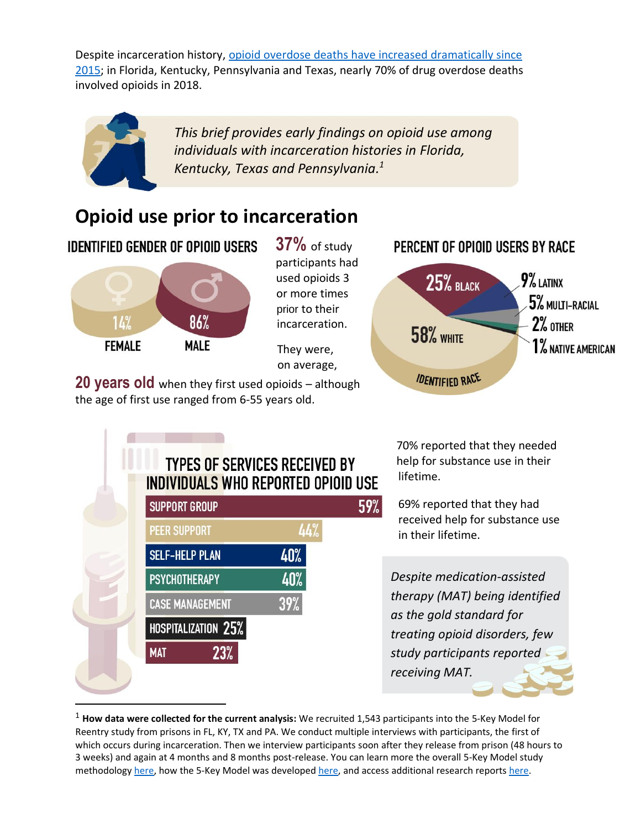Despite incarceration history, [opioid overdose deaths have increased dramatically since](https://www.drugabuse.gov/drug-topics/opioids/opioid-summaries-by-state)  [2015;](https://www.drugabuse.gov/drug-topics/opioids/opioid-summaries-by-state) in Florida, Kentucky, Pennsylvania and Texas, nearly 70% of drug overdose deaths involved opioids in 2018.



 *This brief provides early findings on opioid use among individuals with incarceration histories in Florida, Kentucky, Texas and Pennsylvania. 1*

# **Opioid use prior to incarceration**

**IDENTIFIED GENDER OF OPIOID USERS** 



**37%** of study participants had used opioids 3 or more times prior to their incarceration.

They were, on average,

**20 years old** when they first used opioids – although the age of first use ranged from 6-55 years old.



#### **TYPES OF SERVICES RECEIVED BY** INDIVIDUALS WHO REPORTED OPIOID USE 59% **SUPPORT GROUP PEER SUPPORT** 44% **SELF-HELP PLAN** 40% **PSYCHOTHERAPY** 40°

**CASE MANAGEMENT** 

**MAT** 

HOSPITALIZATION 25%

23%

 70% reported that they needed help for substance use in their lifetime.

69% reported that they had received help for substance use in their lifetime.

*Despite medication-assisted therapy (MAT) being identified as the gold standard for treating opioid disorders, few study participants reported receiving MAT.*

<sup>1</sup> **How data were collected for the current analysis:** We recruited 1,543 participants into the 5-Key Model for Reentry study from prisons in FL, KY, TX and PA. We conduct multiple interviews with participants, the first of which occurs during incarceration. Then we interview participants soon after they release from prison (48 hours to 3 weeks) and again at 4 months and 8 months post-release. You can learn more the overall 5-Key Model study methodolog[y here,](https://ijrd.csw.fsu.edu/sites/g/files/upcbnu1766/files/media/images/publication_pdfs/5Key_1st_Report_FINAL_0.pdf) how the 5-Key Model was develope[d here,](https://www.tandfonline.com/doi/pdf/10.1080/10509674.2019.1635242?casa_token=KDrdb0A1vI0AAAAA%3AEPcck7AsAcaY3SDaaa0RO07c2gpCnG_mSjkz1PMt_1t_fkcmIGP8SPTEkHonmJTtsx0hQetKPSk&) and access additional research report[s here.](https://ijrd.csw.fsu.edu/publications/category/5-key-model-reentry)

39%